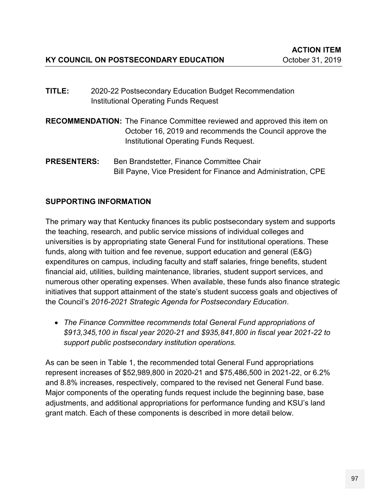- **TITLE:** 2020-22 Postsecondary Education Budget Recommendation Institutional Operating Funds Request
- **RECOMMENDATION:** The Finance Committee reviewed and approved this item on October 16, 2019 and recommends the Council approve the Institutional Operating Funds Request.
- **PRESENTERS:** Ben Brandstetter, Finance Committee Chair Bill Payne, Vice President for Finance and Administration, CPE

# **SUPPORTING INFORMATION**

The primary way that Kentucky finances its public postsecondary system and supports the teaching, research, and public service missions of individual colleges and universities is by appropriating state General Fund for institutional operations. These funds, along with tuition and fee revenue, support education and general (E&G) expenditures on campus, including faculty and staff salaries, fringe benefits, student financial aid, utilities, building maintenance, libraries, student support services, and numerous other operating expenses. When available, these funds also finance strategic initiatives that support attainment of the state's student success goals and objectives of the Council's *2016-2021 Strategic Agenda for Postsecondary Education*.

 *The Finance Committee recommends total General Fund appropriations of \$913,345,100 in fiscal year 2020-21 and \$935,841,800 in fiscal year 2021-22 to support public postsecondary institution operations.*

As can be seen in Table 1, the recommended total General Fund appropriations represent increases of \$52,989,800 in 2020-21 and \$75,486,500 in 2021-22, or 6.2% and 8.8% increases, respectively, compared to the revised net General Fund base. Major components of the operating funds request include the beginning base, base adjustments, and additional appropriations for performance funding and KSU's land grant match. Each of these components is described in more detail below.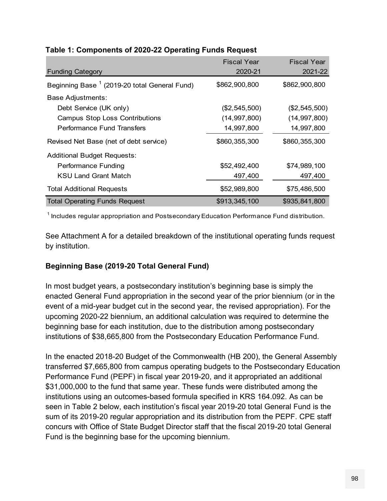| <b>Funding Category</b>                                  | <b>Fiscal Year</b><br>2020-21 | <b>Fiscal Year</b><br>2021-22 |
|----------------------------------------------------------|-------------------------------|-------------------------------|
| Beginning Base <sup>1</sup> (2019-20 total General Fund) | \$862,900,800                 | \$862,900,800                 |
| <b>Base Adjustments:</b>                                 |                               |                               |
| Debt Service (UK only)                                   | (\$2,545,500)                 | (\$2,545,500)                 |
| <b>Campus Stop Loss Contributions</b>                    | (14, 997, 800)                | (14, 997, 800)                |
| Performance Fund Transfers                               | 14,997,800                    | 14,997,800                    |
| Revised Net Base (net of debt service)                   | \$860,355,300                 | \$860,355,300                 |
| <b>Additional Budget Requests:</b>                       |                               |                               |
| <b>Performance Funding</b>                               | \$52,492,400                  | \$74,989,100                  |
| <b>KSU Land Grant Match</b>                              | 497,400                       | 497,400                       |
| <b>Total Additional Requests</b>                         | \$52,989,800                  | \$75,486,500                  |
| <b>Total Operating Funds Request</b>                     | \$913,345,100                 | \$935,841,800                 |

#### **Table 1: Components of 2020-22 Operating Funds Request**

 $^\text{1}$  Includes regular appropriation and Postsecondary Education Performance Fund distribution.

See Attachment A for a detailed breakdown of the institutional operating funds request by institution.

## **Beginning Base (2019-20 Total General Fund)**

In most budget years, a postsecondary institution's beginning base is simply the enacted General Fund appropriation in the second year of the prior biennium (or in the event of a mid-year budget cut in the second year, the revised appropriation). For the upcoming 2020-22 biennium, an additional calculation was required to determine the beginning base for each institution, due to the distribution among postsecondary institutions of \$38,665,800 from the Postsecondary Education Performance Fund.

In the enacted 2018-20 Budget of the Commonwealth (HB 200), the General Assembly transferred \$7,665,800 from campus operating budgets to the Postsecondary Education Performance Fund (PEPF) in fiscal year 2019-20, and it appropriated an additional \$31,000,000 to the fund that same year. These funds were distributed among the institutions using an outcomes-based formula specified in KRS 164.092. As can be seen in Table 2 below, each institution's fiscal year 2019-20 total General Fund is the sum of its 2019-20 regular appropriation and its distribution from the PEPF. CPE staff concurs with Office of State Budget Director staff that the fiscal 2019-20 total General Fund is the beginning base for the upcoming biennium.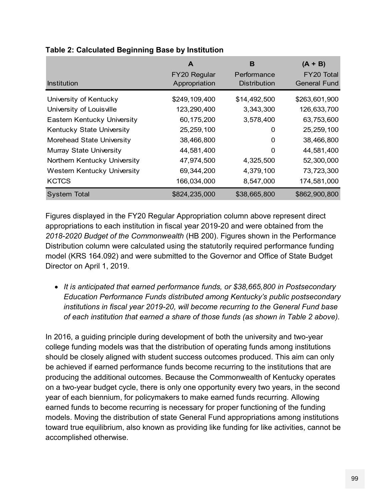| Table 2: Calculated Beginning Base by Institution |                               |                                    |                                   |  |  |
|---------------------------------------------------|-------------------------------|------------------------------------|-----------------------------------|--|--|
|                                                   | A                             | в                                  | $(A + B)$                         |  |  |
| <b>Institution</b>                                | FY20 Regular<br>Appropriation | Performance<br><b>Distribution</b> | FY20 Total<br><b>General Fund</b> |  |  |
| University of Kentucky                            | \$249,109,400                 | \$14,492,500                       | \$263,601,900                     |  |  |
| University of Louisville                          | 123,290,400                   | 3,343,300                          | 126,633,700                       |  |  |
| Eastern Kentucky University                       | 60, 175, 200                  | 3,578,400                          | 63,753,600                        |  |  |
| Kentucky State University                         | 25,259,100                    | 0                                  | 25,259,100                        |  |  |
| Morehead State University                         | 38,466,800                    | 0                                  | 38,466,800                        |  |  |
| <b>Murray State University</b>                    | 44,581,400                    | $\Omega$                           | 44,581,400                        |  |  |
| Northern Kentucky University                      | 47,974,500                    | 4,325,500                          | 52,300,000                        |  |  |
| Western Kentucky University                       | 69,344,200                    | 4,379,100                          | 73,723,300                        |  |  |
| <b>KCTCS</b>                                      | 166,034,000                   | 8,547,000                          | 174,581,000                       |  |  |
| <b>System Total</b>                               | \$824,235,000                 | \$38,665,800                       | \$862,900,800                     |  |  |

#### **Table 2: Calculated Beginning Base by Institution**

Figures displayed in the FY20 Regular Appropriation column above represent direct appropriations to each institution in fiscal year 2019-20 and were obtained from the *2018-2020 Budget of the Commonwealth* (HB 200). Figures shown in the Performance Distribution column were calculated using the statutorily required performance funding model (KRS 164.092) and were submitted to the Governor and Office of State Budget Director on April 1, 2019.

 *It is anticipated that earned performance funds, or \$38,665,800 in Postsecondary Education Performance Funds distributed among Kentucky's public postsecondary institutions in fiscal year 2019-20, will become recurring to the General Fund base of each institution that earned a share of those funds (as shown in Table 2 above).*

In 2016, a guiding principle during development of both the university and two-year college funding models was that the distribution of operating funds among institutions should be closely aligned with student success outcomes produced. This aim can only be achieved if earned performance funds become recurring to the institutions that are producing the additional outcomes. Because the Commonwealth of Kentucky operates on a two-year budget cycle, there is only one opportunity every two years, in the second year of each biennium, for policymakers to make earned funds recurring. Allowing earned funds to become recurring is necessary for proper functioning of the funding models. Moving the distribution of state General Fund appropriations among institutions toward true equilibrium, also known as providing like funding for like activities, cannot be accomplished otherwise.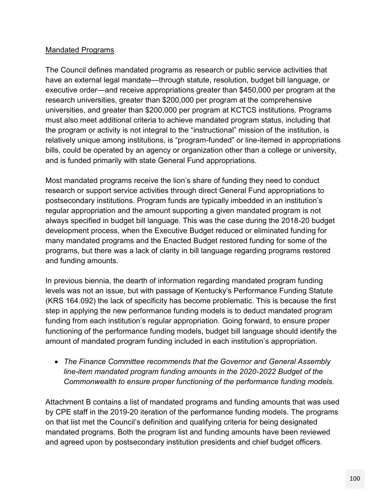#### Mandated Programs

The Council defines mandated programs as research or public service activities that have an external legal mandate—through statute, resolution, budget bill language, or executive order—and receive appropriations greater than \$450,000 per program at the research universities, greater than \$200,000 per program at the comprehensive universities, and greater than \$200,000 per program at KCTCS institutions. Programs must also meet additional criteria to achieve mandated program status, including that the program or activity is not integral to the "instructional" mission of the institution, is relatively unique among institutions, is "program-funded" or line-itemed in appropriations bills, could be operated by an agency or organization other than a college or university, and is funded primarily with state General Fund appropriations.

Most mandated programs receive the lion's share of funding they need to conduct research or support service activities through direct General Fund appropriations to postsecondary institutions. Program funds are typically imbedded in an institution's regular appropriation and the amount supporting a given mandated program is not always specified in budget bill language. This was the case during the 2018-20 budget development process, when the Executive Budget reduced or eliminated funding for many mandated programs and the Enacted Budget restored funding for some of the programs, but there was a lack of clarity in bill language regarding programs restored and funding amounts.

In previous biennia, the dearth of information regarding mandated program funding levels was not an issue, but with passage of Kentucky's Performance Funding Statute (KRS 164.092) the lack of specificity has become problematic. This is because the first step in applying the new performance funding models is to deduct mandated program funding from each institution's regular appropriation. Going forward, to ensure proper functioning of the performance funding models, budget bill language should identify the amount of mandated program funding included in each institution's appropriation.

 *The Finance Committee recommends that the Governor and General Assembly line-item mandated program funding amounts in the 2020-2022 Budget of the Commonwealth to ensure proper functioning of the performance funding models.*

Attachment B contains a list of mandated programs and funding amounts that was used by CPE staff in the 2019-20 iteration of the performance funding models. The programs on that list met the Council's definition and qualifying criteria for being designated mandated programs. Both the program list and funding amounts have been reviewed and agreed upon by postsecondary institution presidents and chief budget officers.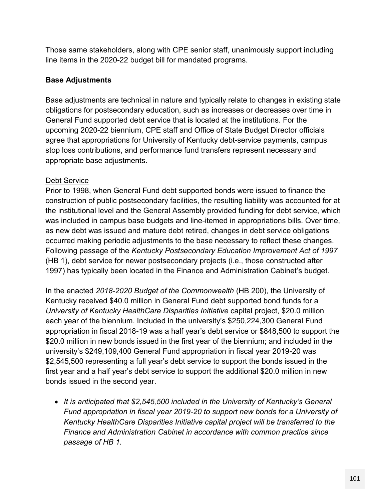Those same stakeholders, along with CPE senior staff, unanimously support including line items in the 2020-22 budget bill for mandated programs.

#### **Base Adjustments**

Base adjustments are technical in nature and typically relate to changes in existing state obligations for postsecondary education, such as increases or decreases over time in General Fund supported debt service that is located at the institutions. For the upcoming 2020-22 biennium, CPE staff and Office of State Budget Director officials agree that appropriations for University of Kentucky debt-service payments, campus stop loss contributions, and performance fund transfers represent necessary and appropriate base adjustments.

#### Debt Service

Prior to 1998, when General Fund debt supported bonds were issued to finance the construction of public postsecondary facilities, the resulting liability was accounted for at the institutional level and the General Assembly provided funding for debt service, which was included in campus base budgets and line-itemed in appropriations bills. Over time, as new debt was issued and mature debt retired, changes in debt service obligations occurred making periodic adjustments to the base necessary to reflect these changes. Following passage of the *Kentucky Postsecondary Education Improvement Act of 1997* (HB 1), debt service for newer postsecondary projects (i.e., those constructed after 1997) has typically been located in the Finance and Administration Cabinet's budget.

In the enacted *2018-2020 Budget of the Commonwealth* (HB 200), the University of Kentucky received \$40.0 million in General Fund debt supported bond funds for a *University of Kentucky HealthCare Disparities Initiative* capital project, \$20.0 million each year of the biennium. Included in the university's \$250,224,300 General Fund appropriation in fiscal 2018-19 was a half year's debt service or \$848,500 to support the \$20.0 million in new bonds issued in the first year of the biennium; and included in the university's \$249,109,400 General Fund appropriation in fiscal year 2019-20 was \$2,545,500 representing a full year's debt service to support the bonds issued in the first year and a half year's debt service to support the additional \$20.0 million in new bonds issued in the second year.

 *It is anticipated that \$2,545,500 included in the University of Kentucky's General Fund appropriation in fiscal year 2019-20 to support new bonds for a University of Kentucky HealthCare Disparities Initiative capital project will be transferred to the Finance and Administration Cabinet in accordance with common practice since passage of HB 1.*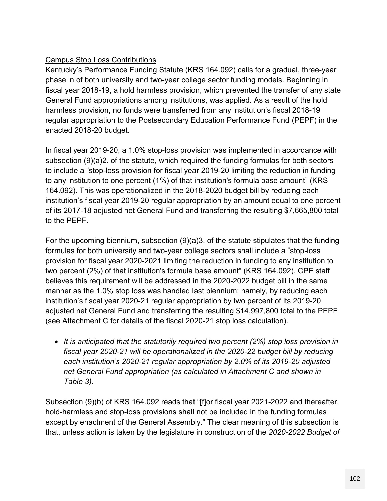# Campus Stop Loss Contributions

Kentucky's Performance Funding Statute (KRS 164.092) calls for a gradual, three-year phase in of both university and two-year college sector funding models. Beginning in fiscal year 2018-19, a hold harmless provision, which prevented the transfer of any state General Fund appropriations among institutions, was applied. As a result of the hold harmless provision, no funds were transferred from any institution's fiscal 2018-19 regular appropriation to the Postsecondary Education Performance Fund (PEPF) in the enacted 2018-20 budget.

In fiscal year 2019-20, a 1.0% stop-loss provision was implemented in accordance with subsection (9)(a)2. of the statute, which required the funding formulas for both sectors to include a "stop-loss provision for fiscal year 2019-20 limiting the reduction in funding to any institution to one percent (1%) of that institution's formula base amount" (KRS 164.092). This was operationalized in the 2018-2020 budget bill by reducing each institution's fiscal year 2019-20 regular appropriation by an amount equal to one percent of its 2017-18 adjusted net General Fund and transferring the resulting \$7,665,800 total to the PEPF.

For the upcoming biennium, subsection (9)(a)3. of the statute stipulates that the funding formulas for both university and two-year college sectors shall include a "stop-loss provision for fiscal year 2020-2021 limiting the reduction in funding to any institution to two percent (2%) of that institution's formula base amount" (KRS 164.092). CPE staff believes this requirement will be addressed in the 2020-2022 budget bill in the same manner as the 1.0% stop loss was handled last biennium; namely, by reducing each institution's fiscal year 2020-21 regular appropriation by two percent of its 2019-20 adjusted net General Fund and transferring the resulting \$14,997,800 total to the PEPF (see Attachment C for details of the fiscal 2020-21 stop loss calculation).

 *It is anticipated that the statutorily required two percent (2%) stop loss provision in fiscal year 2020-21 will be operationalized in the 2020-22 budget bill by reducing each institution's 2020-21 regular appropriation by 2.0% of its 2019-20 adjusted net General Fund appropriation (as calculated in Attachment C and shown in Table 3).*

Subsection (9)(b) of KRS 164.092 reads that "[f]or fiscal year 2021-2022 and thereafter, hold-harmless and stop-loss provisions shall not be included in the funding formulas except by enactment of the General Assembly." The clear meaning of this subsection is that, unless action is taken by the legislature in construction of the *2020-2022 Budget of*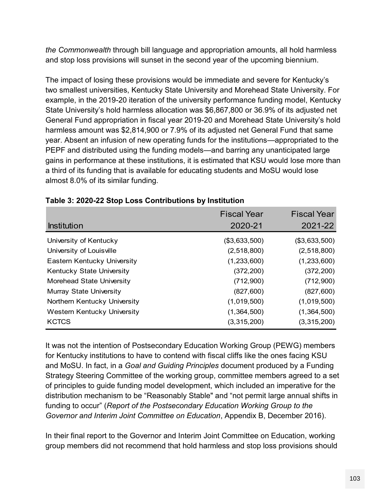*the Commonwealth* through bill language and appropriation amounts, all hold harmless and stop loss provisions will sunset in the second year of the upcoming biennium.

The impact of losing these provisions would be immediate and severe for Kentucky's two smallest universities, Kentucky State University and Morehead State University. For example, in the 2019-20 iteration of the university performance funding model, Kentucky State University's hold harmless allocation was \$6,867,800 or 36.9% of its adjusted net General Fund appropriation in fiscal year 2019-20 and Morehead State University's hold harmless amount was \$2,814,900 or 7.9% of its adjusted net General Fund that same year. Absent an infusion of new operating funds for the institutions—appropriated to the PEPF and distributed using the funding models—and barring any unanticipated large gains in performance at these institutions, it is estimated that KSU would lose more than a third of its funding that is available for educating students and MoSU would lose almost 8.0% of its similar funding.

| Table 3: 2020-22 Stop Loss Contributions by Institution |                    |                    |  |  |
|---------------------------------------------------------|--------------------|--------------------|--|--|
|                                                         | <b>Fiscal Year</b> | <b>Fiscal Year</b> |  |  |
| <b>Institution</b>                                      | 2020-21            | 2021-22            |  |  |
| University of Kentucky                                  | (\$3,633,500)      | (\$3,633,500)      |  |  |
| University of Louisville                                | (2,518,800)        | (2,518,800)        |  |  |
| Eastern Kentucky University                             | (1,233,600)        | (1,233,600)        |  |  |
| Kentucky State University                               | (372, 200)         | (372, 200)         |  |  |
| Morehead State University                               | (712,900)          | (712,900)          |  |  |
| <b>Murray State University</b>                          | (827, 600)         | (827, 600)         |  |  |
| Northern Kentucky University                            | (1,019,500)        | (1,019,500)        |  |  |
| Western Kentucky University                             | (1,364,500)        | (1,364,500)        |  |  |
| <b>KCTCS</b>                                            | (3,315,200)        | (3,315,200)        |  |  |

|  |  | Table 3: 2020-22 Stop Loss Contributions by Institution |  |
|--|--|---------------------------------------------------------|--|
|  |  |                                                         |  |

It was not the intention of Postsecondary Education Working Group (PEWG) members for Kentucky institutions to have to contend with fiscal cliffs like the ones facing KSU and MoSU. In fact, in a *Goal and Guiding Principles* document produced by a Funding Strategy Steering Committee of the working group, committee members agreed to a set of principles to guide funding model development, which included an imperative for the distribution mechanism to be "Reasonably Stable" and "not permit large annual shifts in funding to occur" (*Report of the Postsecondary Education Working Group to the Governor and Interim Joint Committee on Education*, Appendix B, December 2016).

In their final report to the Governor and Interim Joint Committee on Education, working group members did not recommend that hold harmless and stop loss provisions should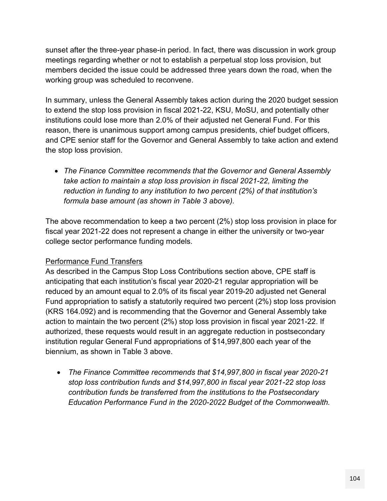sunset after the three-year phase-in period. In fact, there was discussion in work group meetings regarding whether or not to establish a perpetual stop loss provision, but members decided the issue could be addressed three years down the road, when the working group was scheduled to reconvene.

In summary, unless the General Assembly takes action during the 2020 budget session to extend the stop loss provision in fiscal 2021-22, KSU, MoSU, and potentially other institutions could lose more than 2.0% of their adjusted net General Fund. For this reason, there is unanimous support among campus presidents, chief budget officers, and CPE senior staff for the Governor and General Assembly to take action and extend the stop loss provision.

 *The Finance Committee recommends that the Governor and General Assembly take action to maintain a stop loss provision in fiscal 2021-22, limiting the reduction in funding to any institution to two percent (2%) of that institution's formula base amount (as shown in Table 3 above).*

The above recommendation to keep a two percent (2%) stop loss provision in place for fiscal year 2021-22 does not represent a change in either the university or two-year college sector performance funding models.

## Performance Fund Transfers

As described in the Campus Stop Loss Contributions section above, CPE staff is anticipating that each institution's fiscal year 2020-21 regular appropriation will be reduced by an amount equal to 2.0% of its fiscal year 2019-20 adjusted net General Fund appropriation to satisfy a statutorily required two percent (2%) stop loss provision (KRS 164.092) and is recommending that the Governor and General Assembly take action to maintain the two percent (2%) stop loss provision in fiscal year 2021-22. If authorized, these requests would result in an aggregate reduction in postsecondary institution regular General Fund appropriations of \$14,997,800 each year of the biennium, as shown in Table 3 above.

 *The Finance Committee recommends that \$14,997,800 in fiscal year 2020-21 stop loss contribution funds and \$14,997,800 in fiscal year 2021-22 stop loss contribution funds be transferred from the institutions to the Postsecondary Education Performance Fund in the 2020-2022 Budget of the Commonwealth.*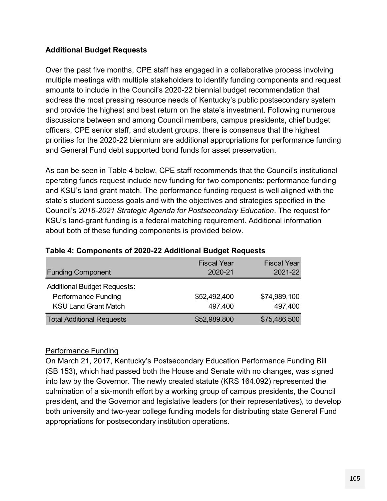#### **Additional Budget Requests**

Over the past five months, CPE staff has engaged in a collaborative process involving multiple meetings with multiple stakeholders to identify funding components and request amounts to include in the Council's 2020-22 biennial budget recommendation that address the most pressing resource needs of Kentucky's public postsecondary system and provide the highest and best return on the state's investment. Following numerous discussions between and among Council members, campus presidents, chief budget officers, CPE senior staff, and student groups, there is consensus that the highest priorities for the 2020-22 biennium are additional appropriations for performance funding and General Fund debt supported bond funds for asset preservation.

As can be seen in Table 4 below, CPE staff recommends that the Council's institutional operating funds request include new funding for two components: performance funding and KSU's land grant match. The performance funding request is well aligned with the state's student success goals and with the objectives and strategies specified in the Council's *2016-2021 Strategic Agenda for Postsecondary Education*. The request for KSU's land-grant funding is a federal matching requirement. Additional information about both of these funding components is provided below.

| Table 4: Components of 2020-22 Additional Budget Requests |                               |                               |  |  |
|-----------------------------------------------------------|-------------------------------|-------------------------------|--|--|
| <b>Funding Component</b>                                  | <b>Fiscal Year</b><br>2020-21 | <b>Fiscal Year</b><br>2021-22 |  |  |
| <b>Additional Budget Requests:</b>                        |                               |                               |  |  |
| <b>Performance Funding</b>                                | \$52,492,400                  | \$74,989,100                  |  |  |
| <b>KSU Land Grant Match</b>                               | 497,400                       | 497,400                       |  |  |
| <b>Total Additional Requests</b>                          | \$52,989,800                  | \$75,486,500                  |  |  |

#### **Table 4: Components of 2020-22 Additional Budget Requests**

#### Performance Funding

On March 21, 2017, Kentucky's Postsecondary Education Performance Funding Bill (SB 153), which had passed both the House and Senate with no changes, was signed into law by the Governor. The newly created statute (KRS 164.092) represented the culmination of a six-month effort by a working group of campus presidents, the Council president, and the Governor and legislative leaders (or their representatives), to develop both university and two-year college funding models for distributing state General Fund appropriations for postsecondary institution operations.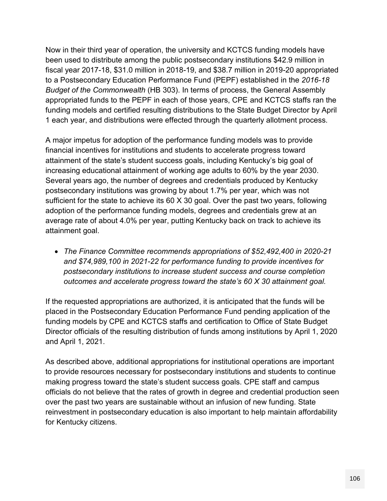Now in their third year of operation, the university and KCTCS funding models have been used to distribute among the public postsecondary institutions \$42.9 million in fiscal year 2017-18, \$31.0 million in 2018-19, and \$38.7 million in 2019-20 appropriated to a Postsecondary Education Performance Fund (PEPF) established in the *2016-18 Budget of the Commonwealth* (HB 303). In terms of process, the General Assembly appropriated funds to the PEPF in each of those years, CPE and KCTCS staffs ran the funding models and certified resulting distributions to the State Budget Director by April 1 each year, and distributions were effected through the quarterly allotment process.

A major impetus for adoption of the performance funding models was to provide financial incentives for institutions and students to accelerate progress toward attainment of the state's student success goals, including Kentucky's big goal of increasing educational attainment of working age adults to 60% by the year 2030. Several years ago, the number of degrees and credentials produced by Kentucky postsecondary institutions was growing by about 1.7% per year, which was not sufficient for the state to achieve its 60 X 30 goal. Over the past two years, following adoption of the performance funding models, degrees and credentials grew at an average rate of about 4.0% per year, putting Kentucky back on track to achieve its attainment goal.

 *The Finance Committee recommends appropriations of \$52,492,400 in 2020-21 and \$74,989,100 in 2021-22 for performance funding to provide incentives for postsecondary institutions to increase student success and course completion outcomes and accelerate progress toward the state's 60 X 30 attainment goal.*

If the requested appropriations are authorized, it is anticipated that the funds will be placed in the Postsecondary Education Performance Fund pending application of the funding models by CPE and KCTCS staffs and certification to Office of State Budget Director officials of the resulting distribution of funds among institutions by April 1, 2020 and April 1, 2021.

As described above, additional appropriations for institutional operations are important to provide resources necessary for postsecondary institutions and students to continue making progress toward the state's student success goals. CPE staff and campus officials do not believe that the rates of growth in degree and credential production seen over the past two years are sustainable without an infusion of new funding. State reinvestment in postsecondary education is also important to help maintain affordability for Kentucky citizens.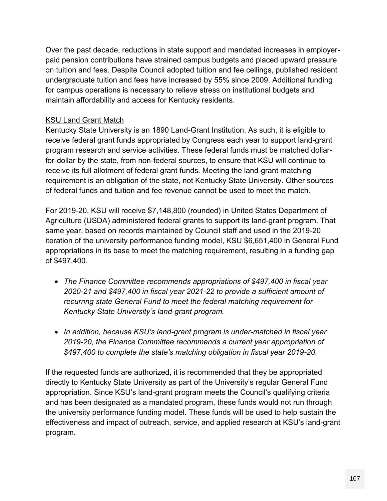Over the past decade, reductions in state support and mandated increases in employerpaid pension contributions have strained campus budgets and placed upward pressure on tuition and fees. Despite Council adopted tuition and fee ceilings, published resident undergraduate tuition and fees have increased by 55% since 2009. Additional funding for campus operations is necessary to relieve stress on institutional budgets and maintain affordability and access for Kentucky residents.

#### KSU Land Grant Match

Kentucky State University is an 1890 Land-Grant Institution. As such, it is eligible to receive federal grant funds appropriated by Congress each year to support land-grant program research and service activities. These federal funds must be matched dollarfor-dollar by the state, from non-federal sources, to ensure that KSU will continue to receive its full allotment of federal grant funds. Meeting the land-grant matching requirement is an obligation of the state, not Kentucky State University. Other sources of federal funds and tuition and fee revenue cannot be used to meet the match.

For 2019-20, KSU will receive \$7,148,800 (rounded) in United States Department of Agriculture (USDA) administered federal grants to support its land-grant program. That same year, based on records maintained by Council staff and used in the 2019-20 iteration of the university performance funding model, KSU \$6,651,400 in General Fund appropriations in its base to meet the matching requirement, resulting in a funding gap of \$497,400.

- *The Finance Committee recommends appropriations of \$497,400 in fiscal year 2020-21 and \$497,400 in fiscal year 2021-22 to provide a sufficient amount of recurring state General Fund to meet the federal matching requirement for Kentucky State University's land-grant program.*
- *In addition, because KSU's land-grant program is under-matched in fiscal year 2019-20, the Finance Committee recommends a current year appropriation of \$497,400 to complete the state's matching obligation in fiscal year 2019-20.*

If the requested funds are authorized, it is recommended that they be appropriated directly to Kentucky State University as part of the University's regular General Fund appropriation. Since KSU's land-grant program meets the Council's qualifying criteria and has been designated as a mandated program, these funds would not run through the university performance funding model. These funds will be used to help sustain the effectiveness and impact of outreach, service, and applied research at KSU's land-grant program.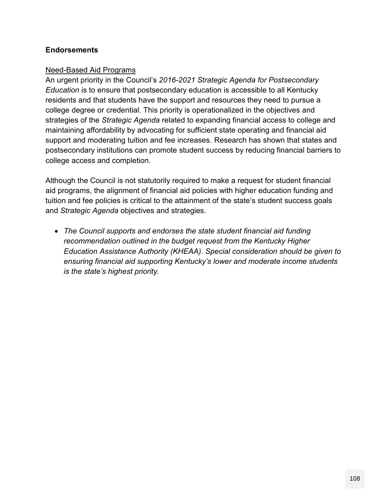#### **Endorsements**

#### Need-Based Aid Programs

An urgent priority in the Council's *2016-2021 Strategic Agenda for Postsecondary Education* is to ensure that postsecondary education is accessible to all Kentucky residents and that students have the support and resources they need to pursue a college degree or credential. This priority is operationalized in the objectives and strategies of the *Strategic Agenda* related to expanding financial access to college and maintaining affordability by advocating for sufficient state operating and financial aid support and moderating tuition and fee increases. Research has shown that states and postsecondary institutions can promote student success by reducing financial barriers to college access and completion.

Although the Council is not statutorily required to make a request for student financial aid programs, the alignment of financial aid policies with higher education funding and tuition and fee policies is critical to the attainment of the state's student success goals and *Strategic Agenda* objectives and strategies.

 *The Council supports and endorses the state student financial aid funding recommendation outlined in the budget request from the Kentucky Higher Education Assistance Authority (KHEAA). Special consideration should be given to ensuring financial aid supporting Kentucky's lower and moderate income students is the state's highest priority.*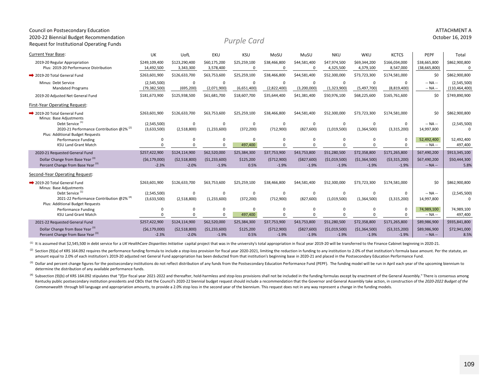#### Request for Institutional Operating Funds Current Year Base:: UK UofL EKU KSU MoSU MuSU NKU WKU KCTCS | PEPF | Total 2019‐20 Regular Appropriation \$249,109,400 \$123,290,400 \$60,175,200 \$25,259,100 \$38,466,800 \$44,581,400 \$47,974,500 \$69,344,200 \$166,034,000 \$38,665,800 \$862,900,800 Plus: 2019-20 Performance Distribution 14,492,500 3,343,300 3,578,400 0 0 0 0 4,325,500 4,379,100 8,547,000 38,665,800 0 0 ■ 2019-20 Total General Fund d \$263,601,900 \$126,633,700 \$63,753,600 \$25,259,100 \$38,466,800 \$44,581,400 \$52,300,000 \$73,723,300 \$174,581,000 | \$0 | \$862,900,800 Minus: Debt Service (2,545,500) 0 0 0 0 0 0 0 0‐‐ NA ‐‐ (2,545,500) Mandated Programs (79,382,500) (695,200) (2,071,900) (6,651,400) (2,822,400) (3,200,000) (1,323,900) (5,497,700) (8,819,400) --NA -- | (110,464,400) 2019‐20 Adjusted Net General Fund \$181,673,900 \$125,938,500 \$61,681,700 \$18,607,700 \$35,644,400 \$41,381,400 \$50,976,100 \$68,225,600 \$165,761,600 \$0 \$749,890,900 First‐Year Operating Request: **→ 2019-20 Total General Fund** d \$263,601,900 \$126,633,700 \$63,753,600 \$25,259,100 \$38,466,800 \$44,581,400 \$52,300,000 \$73,723,300 \$174,581,000 | \$0 | \$862,900,800 Minus: Base Adjustments Debt Service (1) (2,545,500) <sup>0</sup> <sup>0</sup> <sup>0</sup> <sup>0</sup> <sup>0</sup> <sup>0</sup> <sup>0</sup> <sup>0</sup> ‐‐ NA ‐‐ (2,545,500) 2020-21 Performance Contribution @2%<sup>(2)</sup> (3,633,500) (2,518,800) (1,233,600) (372,200) (712,900) (827,600) (1,019,500) (1,364,500) (3,315,200) 14,997,800 0 Plus: Additional Budget Requests Performance Funding 0 0 0 0 0 0 0 0 052,492,400 52,492,400 KSU Land Grant Match 0 0 0 497,400 0 0 0 0 0‐‐ NA ‐‐ 497,400 2020‐21 Requested General Fund \$257,422,900 \$124,114,900 \$62,520,000 \$25,384,300 \$37,753,900 \$43,753,800 \$51,280,500 \$72,358,800 \$171,265,800 \$67,490,200 \$913,345,100 Dollar Change from Base Year<sup>(3)</sup> (\$6,179,000) (\$6,179,000) (\$2,518,800) (\$1,233,600) \$125,200 (\$712,900) (\$1,2300, (\$1,019,500) (\$1,364,500) (\$3,315,200) \$67,490,200 \$50,444,300 Percent Change from Base Year (3) ● 2.3% → 2.3% → 2.0% → 1.9% → 1.9% → 1.9% → 1.9% → 1.9% → 1.9% → NA – 1 5.8% Second‐Year Operating Request: **→ 2019-20 Total General Fund** d \$263,601,900 \$126,633,700 \$63,753,600 \$25,259,100 \$38,466,800 \$44,581,400 \$52,300,000 \$73,723,300 \$174,581,000 | \$0 | \$862,900,800 Minus: Base Adjustments Debt Service (1) (2,545,500) <sup>0</sup> <sup>0</sup> <sup>0</sup> <sup>0</sup> <sup>0</sup> <sup>0</sup> <sup>0</sup> <sup>0</sup> ‐‐ NA ‐‐ (2,545,500) 2021‐22 Performance Contribution @2% (4) (3,633,500) (2,518,800) (1,233,600) (372,200) (712,900) (827,600) (1,019,500) (1,364,500) (3,315,200) 14,997,800 <sup>0</sup> Plus: Additional Budget Requests Performance Funding 0 0 0 0 0 0 0 0 074,989,100 74,989,100 KSU Land Grant Match 0 0 0 497,400 0 0 0 0 0‐‐ NA ‐‐ 497,400 2021‐22 Requested General Fund \$257,422,900 \$124,114,900 \$62,520,000 \$25,384,300 \$37,753,900 \$43,753,800 \$51,280,500 \$72,358,800 \$171,265,800 \$89,986,900 \$935,841,800 Dollar Change from Base Year<sup>(3)</sup> (\$6,179,000) (\$6,179,000) (\$1,233,600) (\$1,233,600) \$125,200 (\$712,900) (\$1,2019,500) (\$1,019,500) (\$1,364,500) (\$3,315,200) \$89,986,900 \$72,941,000 Percent Change from Base Year <sup>(3)</sup> • 2.3% • 2.0% • 1.9% 1.9% • 1.9% • 1.9% • 1.9% • 1.9% • 1.9% • NA – 8.5% **8.5%** *Purple Card*

Council on Postsecondary Education ATTACHMENT A 2020‐22 Biennial Budget Recommendation October 16, 2019

<sup>(1)</sup> It is assumed that \$2,545,500 in debt service for a UK HealthCare Disparities Initiative capital project that was in the university's total appropriation in fiscal year 2019-20 will be transferred to the Finance Cabi

(2) Section (9)(a) of KRS 164.092 requires the performance funding formula to include a stop-loss provision for fiscal year 2020-2021, limiting the reduction in funding to any institution to 2.0% of that institution's form amount equal to 2.0% of each institution's 2019-20 adjusted net General Fund appropriation has been deducted from that institution's beginning base in 2020-21 and placed in the Postsecondary Education Performance Fund.

(3) Dollar and percent change figures for the postsecondary institutions do not reflect distribution of any funds from the Postsecondary Education Performance Fund (PEPF). The funding model will be run in April each year o determine the distribution of any available performance funds.

<sup>(4)</sup> Subsection (9)(b) of KRS 164.092 stipulates that "[f]or fiscal year 2021-2022 and thereafter, hold-harmless and stop-loss provisions shall not be included in the funding formulas except by enactment of the General As Kentucky public postsecondary institution presidents and CBOs that the Council's 2020-22 biennial budget request should include a recommendation that the Governor and General Assembly take action, in construction of the 20 Commonwealth through bill language and appropriation amounts, to provide a 2.0% stop loss in the second year of the biennium. This request does not in any way represent a change in the funding models.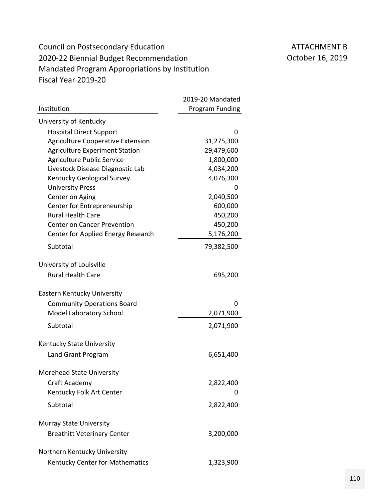# Council on Postsecondary Education ATTACHMENT B 2020-22 Biennial Budget Recommendation **CENN COLLET 16, 2019** Mandated Program Appropriations by Institution Fiscal Year 2019‐20

|                                          | 2019-20 Mandated |
|------------------------------------------|------------------|
| Institution                              | Program Funding  |
| University of Kentucky                   |                  |
| <b>Hospital Direct Support</b>           | 0                |
| <b>Agriculture Cooperative Extension</b> | 31,275,300       |
| <b>Agriculture Experiment Station</b>    | 29,479,600       |
| <b>Agriculture Public Service</b>        | 1,800,000        |
| Livestock Disease Diagnostic Lab         | 4,034,200        |
| Kentucky Geological Survey               | 4,076,300        |
| <b>University Press</b>                  | 0                |
| Center on Aging                          | 2,040,500        |
| Center for Entrepreneurship              | 600,000          |
| <b>Rural Health Care</b>                 | 450,200          |
| <b>Center on Cancer Prevention</b>       | 450,200          |
| Center for Applied Energy Research       | 5,176,200        |
| Subtotal                                 | 79,382,500       |
| University of Louisville                 |                  |
| <b>Rural Health Care</b>                 | 695,200          |
| Eastern Kentucky University              |                  |
| <b>Community Operations Board</b>        | 0                |
| <b>Model Laboratory School</b>           | 2,071,900        |
| Subtotal                                 | 2,071,900        |
|                                          |                  |
| Kentucky State University                |                  |
| Land Grant Program                       | 6,651,400        |
| Morehead State University                |                  |
| Craft Academy                            | 2,822,400        |
| Kentucky Folk Art Center                 |                  |
| Subtotal                                 | 2,822,400        |
| <b>Murray State University</b>           |                  |
| <b>Breathitt Veterinary Center</b>       | 3,200,000        |
| Northern Kentucky University             |                  |
| Kentucky Center for Mathematics          | 1,323,900        |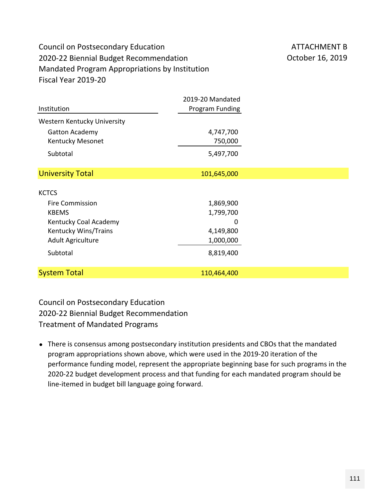# Council on Postsecondary Education ATTACHMENT B 2020-22 Biennial Budget Recommendation **CENN COLLET 16, 2019** Mandated Program Appropriations by Institution Fiscal Year 2019‐20

|                             | 2019-20 Mandated |  |
|-----------------------------|------------------|--|
| Institution                 | Program Funding  |  |
| Western Kentucky University |                  |  |
| <b>Gatton Academy</b>       | 4,747,700        |  |
| Kentucky Mesonet            | 750,000          |  |
| Subtotal                    | 5,497,700        |  |
| <b>University Total</b>     | 101,645,000      |  |
| <b>KCTCS</b>                |                  |  |
| <b>Fire Commission</b>      | 1,869,900        |  |
| <b>KBEMS</b>                | 1,799,700        |  |
| Kentucky Coal Academy       | 0                |  |
| Kentucky Wins/Trains        | 4,149,800        |  |
| <b>Adult Agriculture</b>    | 1,000,000        |  |
| Subtotal                    | 8,819,400        |  |
| <b>System Total</b>         | 110,464,400      |  |

Council on Postsecondary Education 2020‐22 Biennial Budget Recommendation Treatment of Mandated Programs

• There is consensus among postsecondary institution presidents and CBOs that the mandated program appropriations shown above, which were used in the 2019‐20 iteration of the performance funding model, represent the appropriate beginning base for such programs in the 2020‐22 budget development process and that funding for each mandated program should be line‐itemed in budget bill language going forward.